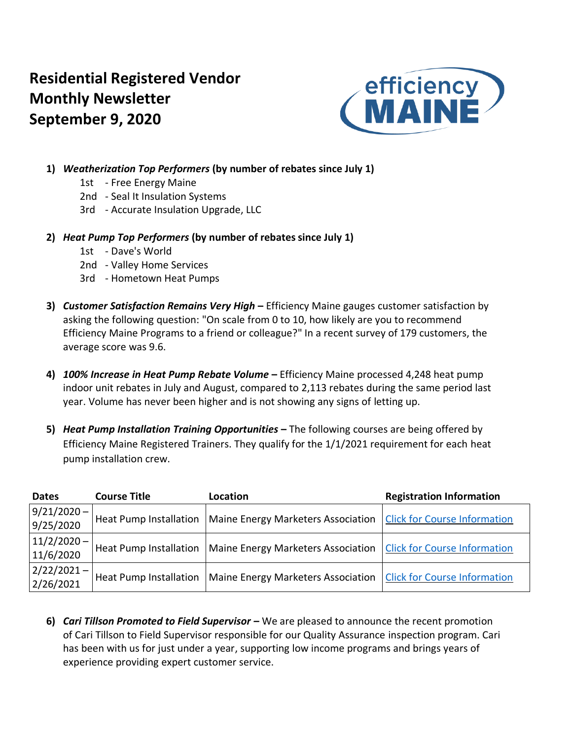# **Residential Registered Vendor Monthly Newsletter September 9, 2020**



- **1)** *Weatherization Top Performers* **(by number of rebates since July 1)**
	- 1st Free Energy Maine
	- 2nd Seal It Insulation Systems
	- 3rd Accurate Insulation Upgrade, LLC
- **2)** *Heat Pump Top Performers* **(by number of rebates since July 1)**
	- 1st Dave's World
	- 2nd Valley Home Services
	- 3rd Hometown Heat Pumps
- **3)** *Customer Satisfaction Remains Very High* **–** Efficiency Maine gauges customer satisfaction by asking the following question: "On scale from 0 to 10, how likely are you to recommend Efficiency Maine Programs to a friend or colleague?" In a recent survey of 179 customers, the average score was 9.6.
- **4)** *100% Increase in Heat Pump Rebate Volume* **–** Efficiency Maine processed 4,248 heat pump indoor unit rebates in July and August, compared to 2,113 rebates during the same period last year. Volume has never been higher and is not showing any signs of letting up.
- **5)** *Heat Pump Installation Training Opportunities* **–** The following courses are being offered by Efficiency Maine Registered Trainers. They qualify for the 1/1/2021 requirement for each heat pump installation crew.

| <b>Dates</b>               | <b>Course Title</b>           | Location                           | <b>Registration Information</b>     |
|----------------------------|-------------------------------|------------------------------------|-------------------------------------|
| $9/21/2020 -$<br>9/25/2020 | <b>Heat Pump Installation</b> | Maine Energy Marketers Association | <b>Click for Course Information</b> |
| $11/2/2020 -$<br>11/6/2020 | <b>Heat Pump Installation</b> | Maine Energy Marketers Association | <b>Click for Course Information</b> |
| $2/22/2021 -$<br>2/26/2021 | <b>Heat Pump Installation</b> | Maine Energy Marketers Association | <b>Click for Course Information</b> |

**6)** *Cari Tillson Promoted to Field Supervisor –* We are pleased to announce the recent promotion of Cari Tillson to Field Supervisor responsible for our Quality Assurance inspection program. Cari has been with us for just under a year, supporting low income programs and brings years of experience providing expert customer service.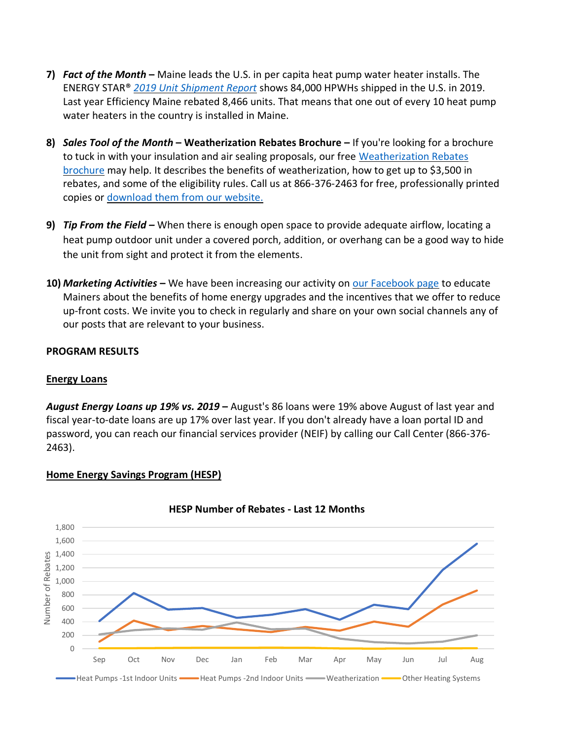- **7)** *Fact of the Month* **–** Maine leads the U.S. in per capita heat pump water heater installs. The ENERGY STAR® *[2019 Unit Shipment Report](https://www.energystar.gov/sites/default/files/asset/document/2019%20USD%20Summary%20Report.pdf)* shows 84,000 HPWHs shipped in the U.S. in 2019. Last year Efficiency Maine rebated 8,466 units. That means that one out of every 10 heat pump water heaters in the country is installed in Maine.
- **8)** *Sales Tool of the Month* **– Weatherization Rebates Brochure –** If you're looking for a brochure to tuck in with your insulation and air sealing proposals, our free [Weatherization Rebates](https://www.efficiencymaine.com/docs/EM-Weatherization-Brochure.pdf)  [brochure](https://www.efficiencymaine.com/docs/EM-Weatherization-Brochure.pdf) may help. It describes the benefits of weatherization, how to get up to \$3,500 in rebates, and some of the eligibility rules. Call us at 866-376-2463 for free, professionally printed copies or [download them](https://www.efficiencymaine.com/docs/EM-Weatherization-Brochure.pdf) from our website.
- **9)** *Tip From the Field –* When there is enough open space to provide adequate airflow, locating a heat pump outdoor unit under a covered porch, addition, or overhang can be a good way to hide the unit from sight and protect it from the elements.
- **10)** *Marketing Activities* **–** We have been increasing our activity on [our Facebook page](https://www.facebook.com/EfficiencyMaine) to educate Mainers about the benefits of home energy upgrades and the incentives that we offer to reduce up-front costs. We invite you to check in regularly and share on your own social channels any of our posts that are relevant to your business.

### **PROGRAM RESULTS**

### **Energy Loans**

*August Energy Loans up 19% vs. 2019* **–** August's 86 loans were 19% above August of last year and fiscal year-to-date loans are up 17% over last year. If you don't already have a loan portal ID and password, you can reach our financial services provider (NEIF) by calling our Call Center (866-376- 2463).



## **Home Energy Savings Program (HESP)**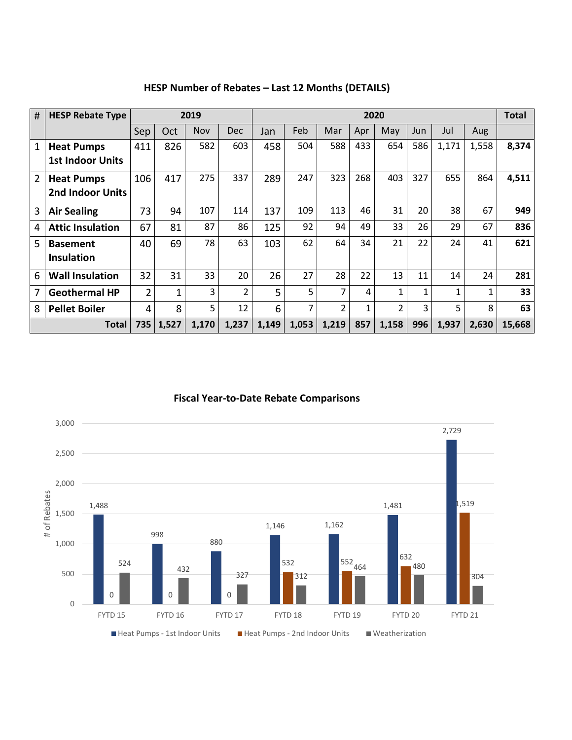| #                                       | <b>HESP Rebate Type</b> |                |     | 2019       |            | 2020  |       |                |     |                |     |       |       |        |
|-----------------------------------------|-------------------------|----------------|-----|------------|------------|-------|-------|----------------|-----|----------------|-----|-------|-------|--------|
|                                         |                         | Sep            | Oct | <b>Nov</b> | <b>Dec</b> | Jan   | Feb   | Mar            | Apr | May            | Jun | Jul   | Aug   |        |
| 1                                       | <b>Heat Pumps</b>       | 411            | 826 | 582        | 603        | 458   | 504   | 588            | 433 | 654            | 586 | 1,171 | 1,558 | 8,374  |
|                                         | <b>1st Indoor Units</b> |                |     |            |            |       |       |                |     |                |     |       |       |        |
| 2                                       | <b>Heat Pumps</b>       | 106            | 417 | 275        | 337        | 289   | 247   | 323            | 268 | 403            | 327 | 655   | 864   | 4,511  |
|                                         | <b>2nd Indoor Units</b> |                |     |            |            |       |       |                |     |                |     |       |       |        |
| 3                                       | <b>Air Sealing</b>      | 73             | 94  | 107        | 114        | 137   | 109   | 113            | 46  | 31             | 20  | 38    | 67    | 949    |
| 4                                       | <b>Attic Insulation</b> | 67             | 81  | 87         | 86         | 125   | 92    | 94             | 49  | 33             | 26  | 29    | 67    | 836    |
| 5                                       | <b>Basement</b>         | 40             | 69  | 78         | 63         | 103   | 62    | 64             | 34  | 21             | 22  | 24    | 41    | 621    |
|                                         | <b>Insulation</b>       |                |     |            |            |       |       |                |     |                |     |       |       |        |
| 6                                       | <b>Wall Insulation</b>  | 32             | 31  | 33         | 20         | 26    | 27    | 28             | 22  | 13             | 11  | 14    | 24    | 281    |
| 7                                       | <b>Geothermal HP</b>    | $\overline{2}$ | 1   | 3          | 2          | 5.    | 5     | 7              | 4   | $\mathbf{1}$   | 1   | 1     | 1     | 33     |
| 8                                       | <b>Pellet Boiler</b>    | 4              | 8   | 5          | 12         | 6     | 7     | $\overline{2}$ | 1   | $\overline{2}$ | 3   | 5     | 8     | 63     |
| 735<br>1,527<br>1,170<br>1,237<br>Total |                         |                |     |            |            | 1,149 | 1,053 | 1,219          | 857 | 1,158          | 996 | 1,937 | 2,630 | 15,668 |

**HESP Number of Rebates – Last 12 Months (DETAILS)**

**Fiscal Year-to-Date Rebate Comparisons**

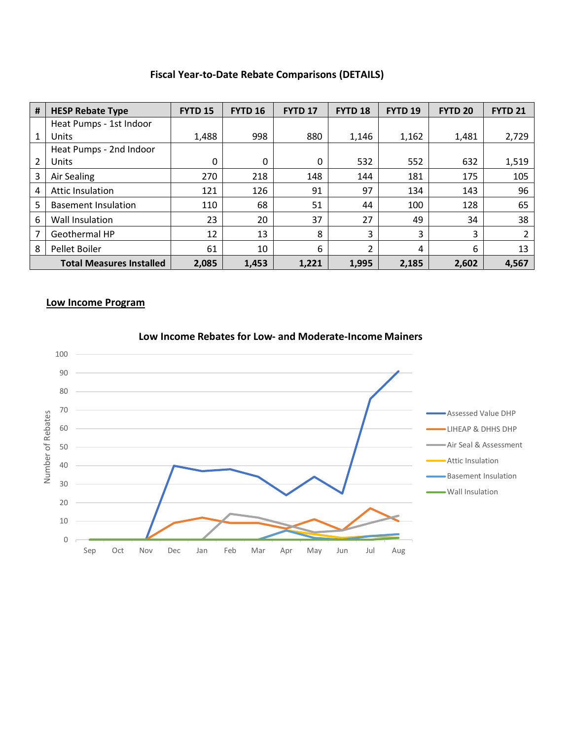## **Fiscal Year-to-Date Rebate Comparisons (DETAILS)**

| # | <b>HESP Rebate Type</b>         | <b>FYTD 15</b> | <b>FYTD 16</b> | FYTD <sub>17</sub> | FYTD <sub>18</sub> | FYTD <sub>19</sub> | <b>FYTD 20</b> | <b>FYTD 21</b> |
|---|---------------------------------|----------------|----------------|--------------------|--------------------|--------------------|----------------|----------------|
|   | Heat Pumps - 1st Indoor         |                |                |                    |                    |                    |                |                |
| 1 | Units                           | 1,488          | 998            | 880                | 1,146              | 1,162              | 1,481          | 2,729          |
|   | Heat Pumps - 2nd Indoor         |                |                |                    |                    |                    |                |                |
| 2 | Units                           | $\mathbf{0}$   | 0              | 0                  | 532                | 552                | 632            | 1,519          |
| 3 | Air Sealing                     | 270            | 218            | 148                | 144                | 181                | 175            | 105            |
| 4 | Attic Insulation                | 121            | 126            | 91                 | 97                 | 134                | 143            | 96             |
| 5 | <b>Basement Insulation</b>      | 110            | 68             | 51                 | 44                 | 100                | 128            | 65             |
| 6 | Wall Insulation                 | 23             | 20             | 37                 | 27                 | 49                 | 34             | 38             |
| 7 | Geothermal HP                   | 12             | 13             | 8                  | 3                  | 3                  | 3              | 2              |
| 8 | Pellet Boiler                   | 61             | 10             | 6                  | $\overline{2}$     | 4                  | 6              | 13             |
|   | <b>Total Measures Installed</b> | 2,085          | 1,453          | 1,221              | 1,995              | 2,185              | 2,602          | 4,567          |

#### **Low Income Program**



### **Low Income Rebates for Low- and Moderate-Income Mainers**